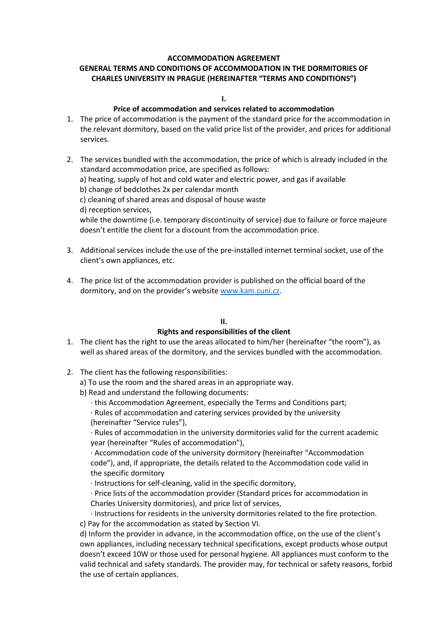# **ACCOMMODATION AGREEMENT**

## **GENERAL TERMS AND CONDITIONS OF ACCOMMODATION IN THE DORMITORIES OF CHARLES UNIVERSITY IN PRAGUE (HEREINAFTER "TERMS AND CONDITIONS")**

#### **I.**

#### **Price of accommodation and services related to accommodation**

- 1. The price of accommodation is the payment of the standard price for the accommodation in the relevant dormitory, based on the valid price list of the provider, and prices for additional services.
- 2. The services bundled with the accommodation, the price of which is already included in the standard accommodation price, are specified as follows:

a) heating, supply of hot and cold water and electric power, and gas if available

b) change of bedclothes 2x per calendar month

c) cleaning of shared areas and disposal of house waste

d) reception services,

while the downtime (i.e. temporary discontinuity of service) due to failure or force majeure doesn't entitle the client for a discount from the accommodation price.

- 3. Additional services include the use of the pre-installed internet terminal socket, use of the client's own appliances, etc.
- 4. The price list of the accommodation provider is published on the official board of the dormitory, and on the provider's website [www.kam.cuni.cz.](http://www.kam.cuni.cz/)

# **II.**

#### **Rights and responsibilities of the client**

- 1. The client has the right to use the areas allocated to him/her (hereinafter "the room"), as well as shared areas of the dormitory, and the services bundled with the accommodation.
- 2. The client has the following responsibilities:
	- a) To use the room and the shared areas in an appropriate way.
	- b) Read and understand the following documents:
		- · this Accommodation Agreement, especially the Terms and Conditions part;
		- · Rules of accommodation and catering services provided by the university
		- (hereinafter "Service rules"),

· Rules of accommodation in the university dormitories valid for the current academic year (hereinafter "Rules of accommodation"),

· Accommodation code of the university dormitory (hereinafter "Accommodation code"), and, if appropriate, the details related to the Accommodation code valid in the specific dormitory

· Instructions for self-cleaning, valid in the specific dormitory,

· Price lists of the accommodation provider (Standard prices for accommodation in Charles University dormitories), and price list of services,

· Instructions for residents in the university dormitories related to the fire protection. c) Pay for the accommodation as stated by Section VI.

d) Inform the provider in advance, in the accommodation office, on the use of the client's own appliances, including necessary technical specifications, except products whose output doesn't exceed 10W or those used for personal hygiene. All appliances must conform to the valid technical and safety standards. The provider may, for technical or safety reasons, forbid the use of certain appliances.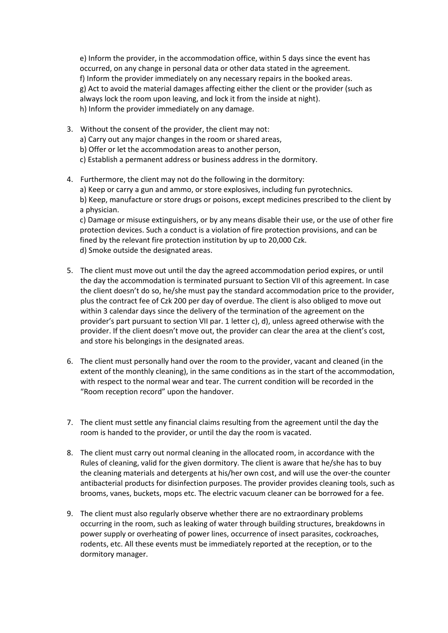e) Inform the provider, in the accommodation office, within 5 days since the event has occurred, on any change in personal data or other data stated in the agreement. f) Inform the provider immediately on any necessary repairs in the booked areas. g) Act to avoid the material damages affecting either the client or the provider (such as always lock the room upon leaving, and lock it from the inside at night). h) Inform the provider immediately on any damage.

- 3. Without the consent of the provider, the client may not: a) Carry out any major changes in the room or shared areas, b) Offer or let the accommodation areas to another person, c) Establish a permanent address or business address in the dormitory.
- 4. Furthermore, the client may not do the following in the dormitory: a) Keep or carry a gun and ammo, or store explosives, including fun pyrotechnics. b) Keep, manufacture or store drugs or poisons, except medicines prescribed to the client by a physician.

c) Damage or misuse extinguishers, or by any means disable their use, or the use of other fire protection devices. Such a conduct is a violation of fire protection provisions, and can be fined by the relevant fire protection institution by up to 20,000 Czk. d) Smoke outside the designated areas.

- 5. The client must move out until the day the agreed accommodation period expires, or until the day the accommodation is terminated pursuant to Section VII of this agreement. In case the client doesn't do so, he/she must pay the standard accommodation price to the provider, plus the contract fee of Czk 200 per day of overdue. The client is also obliged to move out within 3 calendar days since the delivery of the termination of the agreement on the provider's part pursuant to section VII par. 1 letter c), d), unless agreed otherwise with the provider. If the client doesn't move out, the provider can clear the area at the client's cost, and store his belongings in the designated areas.
- 6. The client must personally hand over the room to the provider, vacant and cleaned (in the extent of the monthly cleaning), in the same conditions as in the start of the accommodation, with respect to the normal wear and tear. The current condition will be recorded in the "Room reception record" upon the handover.
- 7. The client must settle any financial claims resulting from the agreement until the day the room is handed to the provider, or until the day the room is vacated.
- 8. The client must carry out normal cleaning in the allocated room, in accordance with the Rules of cleaning, valid for the given dormitory. The client is aware that he/she has to buy the cleaning materials and detergents at his/her own cost, and will use the over-the counter antibacterial products for disinfection purposes. The provider provides cleaning tools, such as brooms, vanes, buckets, mops etc. The electric vacuum cleaner can be borrowed for a fee.
- 9. The client must also regularly observe whether there are no extraordinary problems occurring in the room, such as leaking of water through building structures, breakdowns in power supply or overheating of power lines, occurrence of insect parasites, cockroaches, rodents, etc. All these events must be immediately reported at the reception, or to the dormitory manager.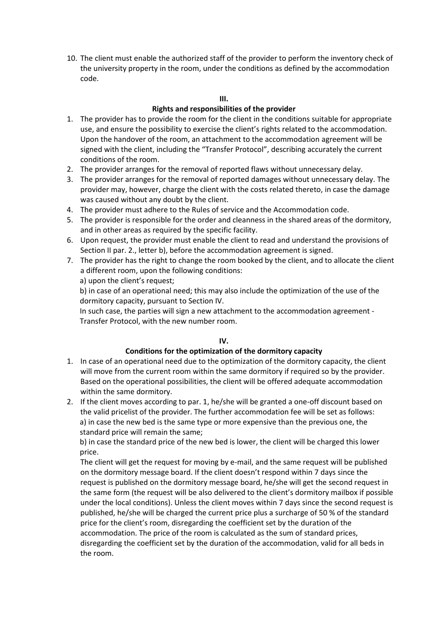10. The client must enable the authorized staff of the provider to perform the inventory check of the university property in the room, under the conditions as defined by the accommodation code.

#### **III.**

#### **Rights and responsibilities of the provider**

- 1. The provider has to provide the room for the client in the conditions suitable for appropriate use, and ensure the possibility to exercise the client's rights related to the accommodation. Upon the handover of the room, an attachment to the accommodation agreement will be signed with the client, including the "Transfer Protocol", describing accurately the current conditions of the room.
- 2. The provider arranges for the removal of reported flaws without unnecessary delay.
- 3. The provider arranges for the removal of reported damages without unnecessary delay. The provider may, however, charge the client with the costs related thereto, in case the damage was caused without any doubt by the client.
- 4. The provider must adhere to the Rules of service and the Accommodation code.
- 5. The provider is responsible for the order and cleanness in the shared areas of the dormitory, and in other areas as required by the specific facility.
- 6. Upon request, the provider must enable the client to read and understand the provisions of Section II par. 2., letter b), before the accommodation agreement is signed.
- 7. The provider has the right to change the room booked by the client, and to allocate the client a different room, upon the following conditions: a) upon the client's request;

b) in case of an operational need; this may also include the optimization of the use of the dormitory capacity, pursuant to Section IV.

In such case, the parties will sign a new attachment to the accommodation agreement - Transfer Protocol, with the new number room.

# **IV.**

#### **Conditions for the optimization of the dormitory capacity**

- 1. In case of an operational need due to the optimization of the dormitory capacity, the client will move from the current room within the same dormitory if required so by the provider. Based on the operational possibilities, the client will be offered adequate accommodation within the same dormitory.
- 2. If the client moves according to par. 1, he/she will be granted a one-off discount based on the valid pricelist of the provider. The further accommodation fee will be set as follows: a) in case the new bed is the same type or more expensive than the previous one, the standard price will remain the same;

b) in case the standard price of the new bed is lower, the client will be charged this lower price.

The client will get the request for moving by e-mail, and the same request will be published on the dormitory message board. If the client doesn't respond within 7 days since the request is published on the dormitory message board, he/she will get the second request in the same form (the request will be also delivered to the client's dormitory mailbox if possible under the local conditions). Unless the client moves within 7 days since the second request is published, he/she will be charged the current price plus a surcharge of 50 % of the standard price for the client's room, disregarding the coefficient set by the duration of the accommodation. The price of the room is calculated as the sum of standard prices, disregarding the coefficient set by the duration of the accommodation, valid for all beds in the room.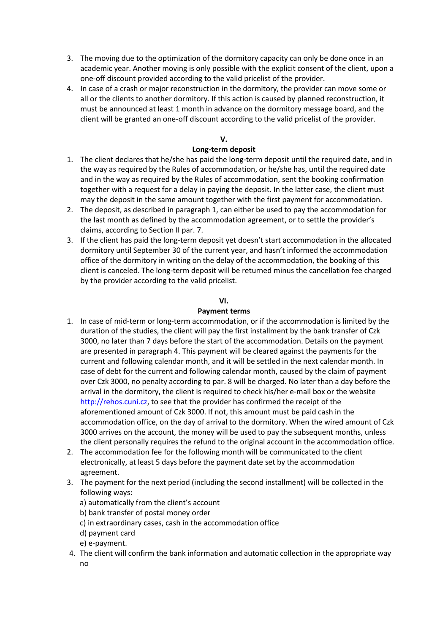- 3. The moving due to the optimization of the dormitory capacity can only be done once in an academic year. Another moving is only possible with the explicit consent of the client, upon a one-off discount provided according to the valid pricelist of the provider.
- 4. In case of a crash or major reconstruction in the dormitory, the provider can move some or all or the clients to another dormitory. If this action is caused by planned reconstruction, it must be announced at least 1 month in advance on the dormitory message board, and the client will be granted an one-off discount according to the valid pricelist of the provider.

## **V.**

## **Long-term deposit**

- 1. The client declares that he/she has paid the long-term deposit until the required date, and in the way as required by the Rules of accommodation, or he/she has, until the required date and in the way as required by the Rules of accommodation, sent the booking confirmation together with a request for a delay in paying the deposit. In the latter case, the client must may the deposit in the same amount together with the first payment for accommodation.
- 2. The deposit, as described in paragraph 1, can either be used to pay the accommodation for the last month as defined by the accommodation agreement, or to settle the provider's claims, according to Section II par. 7.
- 3. If the client has paid the long-term deposit yet doesn't start accommodation in the allocated dormitory until September 30 of the current year, and hasn't informed the accommodation office of the dormitory in writing on the delay of the accommodation, the booking of this client is canceled. The long-term deposit will be returned minus the cancellation fee charged by the provider according to the valid pricelist.

## **VI.**

#### **Payment terms**

- 1. In case of mid-term or long-term accommodation, or if the accommodation is limited by the duration of the studies, the client will pay the first installment by the bank transfer of Czk 3000, no later than 7 days before the start of the accommodation. Details on the payment are presented in paragraph 4. This payment will be cleared against the payments for the current and following calendar month, and it will be settled in the next calendar month. In case of debt for the current and following calendar month, caused by the claim of payment over Czk 3000, no penalty according to par. 8 will be charged. No later than a day before the arrival in the dormitory, the client is required to check his/her e-mail box or the website http://rehos.cuni.cz, to see that the provider has confirmed the receipt of the aforementioned amount of Czk 3000. If not, this amount must be paid cash in the accommodation office, on the day of arrival to the dormitory. When the wired amount of Czk 3000 arrives on the account, the money will be used to pay the subsequent months, unless the client personally requires the refund to the original account in the accommodation office.
- 2. The accommodation fee for the following month will be communicated to the client electronically, at least 5 days before the payment date set by the accommodation agreement.
- 3. The payment for the next period (including the second installment) will be collected in the following ways:
	- a) automatically from the client's account
	- b) bank transfer of postal money order
	- c) in extraordinary cases, cash in the accommodation office
	- d) payment card
	- e) e-payment.
- 4. The client will confirm the bank information and automatic collection in the appropriate way no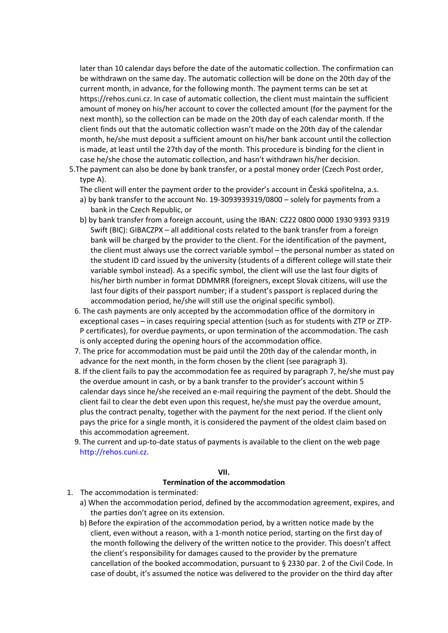later than 10 calendar days before the date of the automatic collection. The confirmation can be withdrawn on the same day. The automatic collection will be done on the 20th day of the current month, in advance, for the following month. The payment terms can be set at https://rehos.cuni.cz. In case of automatic collection, the client must maintain the sufficient amount of money on his/her account to cover the collected amount (for the payment for the next month), so the collection can be made on the 20th day of each calendar month. If the client finds out that the automatic collection wasn't made on the 20th day of the calendar month, he/she must deposit a sufficient amount on his/her bank account until the collection is made, at least until the 27th day of the month. This procedure is binding for the client in case he/she chose the automatic collection, and hasn't withdrawn his/her decision.

5.The payment can also be done by bank transfer, or a postal money order (Czech Post order, type A).

The client will enter the payment order to the provider's account in Česká spořitelna, a.s.

- a) by bank transfer to the account No. 19-3093939319/0800 solely for payments from a bank in the Czech Republic, or
- b) by bank transfer from a foreign account, using the IBAN: CZ22 0800 0000 1930 9393 9319 Swift (BIC): GIBACZPX – all additional costs related to the bank transfer from a foreign bank will be charged by the provider to the client. For the identification of the payment, the client must always use the correct variable symbol – the personal number as stated on the student ID card issued by the university (students of a different college will state their variable symbol instead). As a specific symbol, the client will use the last four digits of his/her birth number in format DDMMRR (foreigners, except Slovak citizens, will use the last four digits of their passport number; if a student's passport is replaced during the accommodation period, he/she will still use the original specific symbol).
- 6. The cash payments are only accepted by the accommodation office of the dormitory in exceptional cases – in cases requiring special attention (such as for students with ZTP or ZTP-P certificates), for overdue payments, or upon termination of the accommodation. The cash is only accepted during the opening hours of the accommodation office.
- 7. The price for accommodation must be paid until the 20th day of the calendar month, in advance for the next month, in the form chosen by the client (see paragraph 3).
- 8. If the client fails to pay the accommodation fee as required by paragraph 7, he/she must pay the overdue amount in cash, or by a bank transfer to the provider's account within 5 calendar days since he/she received an e-mail requiring the payment of the debt. Should the client fail to clear the debt even upon this request, he/she must pay the overdue amount, plus the contract penalty, together with the payment for the next period. If the client only pays the price for a single month, it is considered the payment of the oldest claim based on this accommodation agreement.
- 9. The current and up-to-date status of payments is available to the client on the web page http://rehos.cuni.cz.

#### **VII.**

#### **Termination of the accommodation**

- 1. The accommodation is terminated:
	- a) When the accommodation period, defined by the accommodation agreement, expires, and the parties don't agree on its extension.
	- b) Before the expiration of the accommodation period, by a written notice made by the client, even without a reason, with a 1-month notice period, starting on the first day of the month following the delivery of the written notice to the provider. This doesn't affect the client's responsibility for damages caused to the provider by the premature cancellation of the booked accommodation, pursuant to § 2330 par. 2 of the Civil Code. In case of doubt, it's assumed the notice was delivered to the provider on the third day after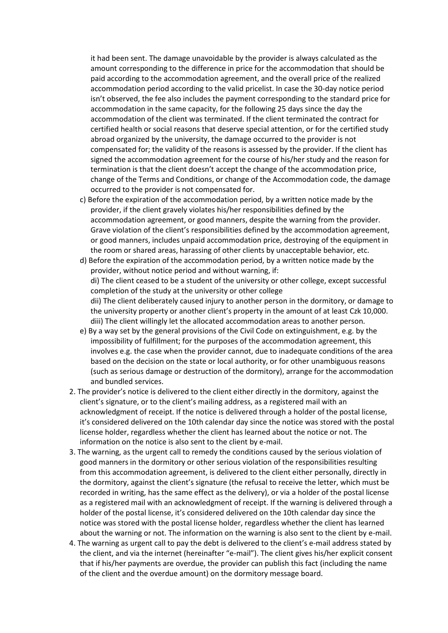it had been sent. The damage unavoidable by the provider is always calculated as the amount corresponding to the difference in price for the accommodation that should be paid according to the accommodation agreement, and the overall price of the realized accommodation period according to the valid pricelist. In case the 30-day notice period isn't observed, the fee also includes the payment corresponding to the standard price for accommodation in the same capacity, for the following 25 days since the day the accommodation of the client was terminated. If the client terminated the contract for certified health or social reasons that deserve special attention, or for the certified study abroad organized by the university, the damage occurred to the provider is not compensated for; the validity of the reasons is assessed by the provider. If the client has signed the accommodation agreement for the course of his/her study and the reason for termination is that the client doesn't accept the change of the accommodation price, change of the Terms and Conditions, or change of the Accommodation code, the damage occurred to the provider is not compensated for.

- c) Before the expiration of the accommodation period, by a written notice made by the provider, if the client gravely violates his/her responsibilities defined by the accommodation agreement, or good manners, despite the warning from the provider. Grave violation of the client's responsibilities defined by the accommodation agreement, or good manners, includes unpaid accommodation price, destroying of the equipment in the room or shared areas, harassing of other clients by unacceptable behavior, etc.
- d) Before the expiration of the accommodation period, by a written notice made by the provider, without notice period and without warning, if: di) The client ceased to be a student of the university or other college, except successful completion of the study at the university or other college dii) The client deliberately caused injury to another person in the dormitory, or damage to the university property or another client's property in the amount of at least Czk 10,000. diii) The client willingly let the allocated accommodation areas to another person.
- e) By a way set by the general provisions of the Civil Code on extinguishment, e.g. by the impossibility of fulfillment; for the purposes of the accommodation agreement, this involves e.g. the case when the provider cannot, due to inadequate conditions of the area based on the decision on the state or local authority, or for other unambiguous reasons (such as serious damage or destruction of the dormitory), arrange for the accommodation and bundled services.
- 2. The provider's notice is delivered to the client either directly in the dormitory, against the client's signature, or to the client's mailing address, as a registered mail with an acknowledgment of receipt. If the notice is delivered through a holder of the postal license, it's considered delivered on the 10th calendar day since the notice was stored with the postal license holder, regardless whether the client has learned about the notice or not. The information on the notice is also sent to the client by e-mail.
- 3. The warning, as the urgent call to remedy the conditions caused by the serious violation of good manners in the dormitory or other serious violation of the responsibilities resulting from this accommodation agreement, is delivered to the client either personally, directly in the dormitory, against the client's signature (the refusal to receive the letter, which must be recorded in writing, has the same effect as the delivery), or via a holder of the postal license as a registered mail with an acknowledgment of receipt. If the warning is delivered through a holder of the postal license, it's considered delivered on the 10th calendar day since the notice was stored with the postal license holder, regardless whether the client has learned about the warning or not. The information on the warning is also sent to the client by e-mail.
- 4. The warning as urgent call to pay the debt is delivered to the client's e-mail address stated by the client, and via the internet (hereinafter "e-mail"). The client gives his/her explicit consent that if his/her payments are overdue, the provider can publish this fact (including the name of the client and the overdue amount) on the dormitory message board.